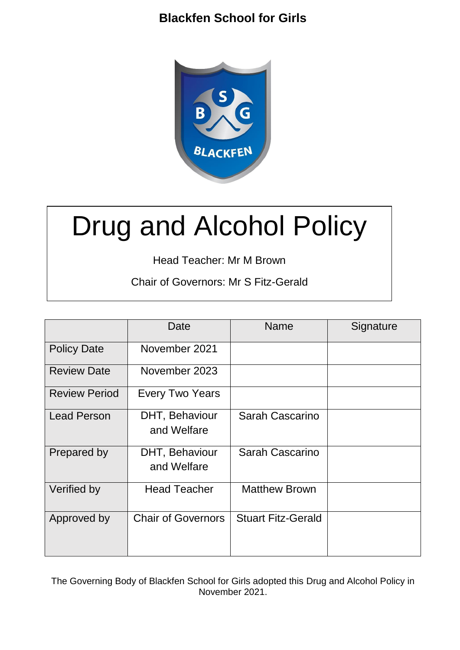

# Drug and Alcohol Policy

Head Teacher: Mr M Brown

Chair of Governors: Mr S Fitz-Gerald

|                      | Date                          | Name                      | Signature |
|----------------------|-------------------------------|---------------------------|-----------|
| <b>Policy Date</b>   | November 2021                 |                           |           |
| <b>Review Date</b>   | November 2023                 |                           |           |
| <b>Review Period</b> | <b>Every Two Years</b>        |                           |           |
| <b>Lead Person</b>   | DHT, Behaviour<br>and Welfare | Sarah Cascarino           |           |
| Prepared by          | DHT, Behaviour<br>and Welfare | Sarah Cascarino           |           |
| Verified by          | <b>Head Teacher</b>           | <b>Matthew Brown</b>      |           |
| Approved by          | <b>Chair of Governors</b>     | <b>Stuart Fitz-Gerald</b> |           |

The Governing Body of Blackfen School for Girls adopted this Drug and Alcohol Policy in November 2021.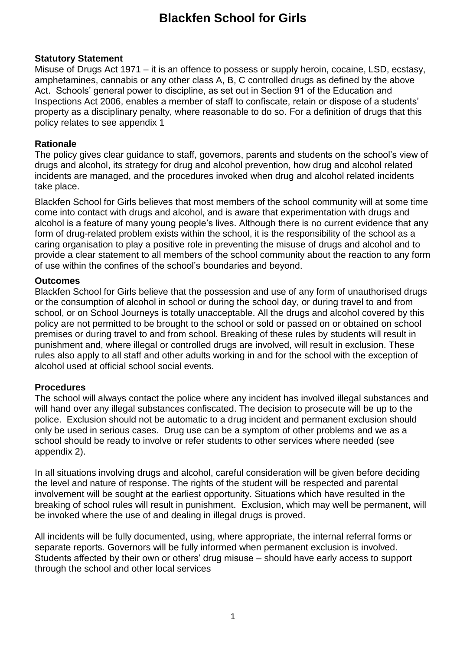#### **Statutory Statement**

Misuse of Drugs Act 1971 – it is an offence to possess or supply heroin, cocaine, LSD, ecstasy, amphetamines, cannabis or any other class A, B, C controlled drugs as defined by the above Act. Schools' general power to discipline, as set out in Section 91 of the Education and Inspections Act 2006, enables a member of staff to confiscate, retain or dispose of a students' property as a disciplinary penalty, where reasonable to do so. For a definition of drugs that this policy relates to see appendix 1

#### **Rationale**

The policy gives clear guidance to staff, governors, parents and students on the school's view of drugs and alcohol, its strategy for drug and alcohol prevention, how drug and alcohol related incidents are managed, and the procedures invoked when drug and alcohol related incidents take place.

Blackfen School for Girls believes that most members of the school community will at some time come into contact with drugs and alcohol, and is aware that experimentation with drugs and alcohol is a feature of many young people's lives. Although there is no current evidence that any form of drug-related problem exists within the school, it is the responsibility of the school as a caring organisation to play a positive role in preventing the misuse of drugs and alcohol and to provide a clear statement to all members of the school community about the reaction to any form of use within the confines of the school's boundaries and beyond.

#### **Outcomes**

Blackfen School for Girls believe that the possession and use of any form of unauthorised drugs or the consumption of alcohol in school or during the school day, or during travel to and from school, or on School Journeys is totally unacceptable. All the drugs and alcohol covered by this policy are not permitted to be brought to the school or sold or passed on or obtained on school premises or during travel to and from school. Breaking of these rules by students will result in punishment and, where illegal or controlled drugs are involved, will result in exclusion. These rules also apply to all staff and other adults working in and for the school with the exception of alcohol used at official school social events.

## **Procedures**

The school will always contact the police where any incident has involved illegal substances and will hand over any illegal substances confiscated. The decision to prosecute will be up to the police. Exclusion should not be automatic to a drug incident and permanent exclusion should only be used in serious cases. Drug use can be a symptom of other problems and we as a school should be ready to involve or refer students to other services where needed (see appendix 2).

In all situations involving drugs and alcohol, careful consideration will be given before deciding the level and nature of response. The rights of the student will be respected and parental involvement will be sought at the earliest opportunity. Situations which have resulted in the breaking of school rules will result in punishment. Exclusion, which may well be permanent, will be invoked where the use of and dealing in illegal drugs is proved.

All incidents will be fully documented, using, where appropriate, the internal referral forms or separate reports. Governors will be fully informed when permanent exclusion is involved. Students affected by their own or others' drug misuse – should have early access to support through the school and other local services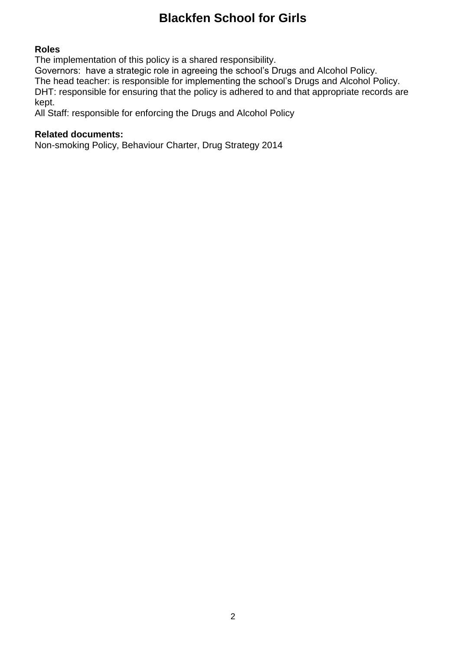#### **Roles**

The implementation of this policy is a shared responsibility.

Governors: have a strategic role in agreeing the school's Drugs and Alcohol Policy. The head teacher: is responsible for implementing the school's Drugs and Alcohol Policy. DHT: responsible for ensuring that the policy is adhered to and that appropriate records are kept.

All Staff: responsible for enforcing the Drugs and Alcohol Policy

#### **Related documents:**

Non-smoking Policy, Behaviour Charter, Drug Strategy 2014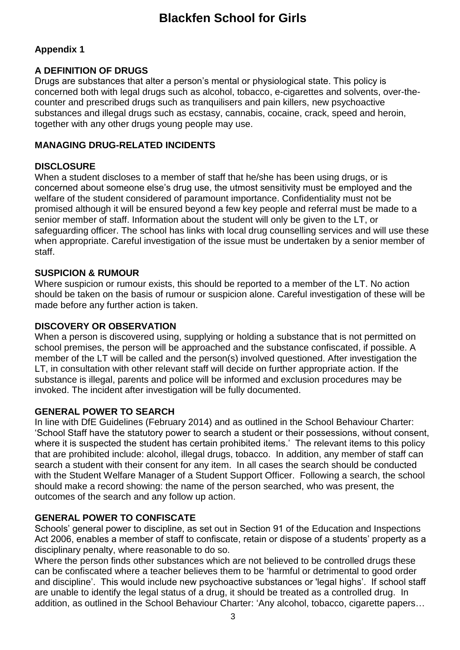## **Appendix 1**

## **A DEFINITION OF DRUGS**

Drugs are substances that alter a person's mental or physiological state. This policy is concerned both with legal drugs such as alcohol, tobacco, e-cigarettes and solvents, over-thecounter and prescribed drugs such as tranquilisers and pain killers, new psychoactive substances and illegal drugs such as ecstasy, cannabis, cocaine, crack, speed and heroin, together with any other drugs young people may use.

#### **MANAGING DRUG-RELATED INCIDENTS**

#### **DISCLOSURE**

When a student discloses to a member of staff that he/she has been using drugs, or is concerned about someone else's drug use, the utmost sensitivity must be employed and the welfare of the student considered of paramount importance. Confidentiality must not be promised although it will be ensured beyond a few key people and referral must be made to a senior member of staff. Information about the student will only be given to the LT, or safeguarding officer. The school has links with local drug counselling services and will use these when appropriate. Careful investigation of the issue must be undertaken by a senior member of staff.

#### **SUSPICION & RUMOUR**

Where suspicion or rumour exists, this should be reported to a member of the LT. No action should be taken on the basis of rumour or suspicion alone. Careful investigation of these will be made before any further action is taken.

#### **DISCOVERY OR OBSERVATION**

When a person is discovered using, supplying or holding a substance that is not permitted on school premises, the person will be approached and the substance confiscated, if possible. A member of the LT will be called and the person(s) involved questioned. After investigation the LT, in consultation with other relevant staff will decide on further appropriate action. If the substance is illegal, parents and police will be informed and exclusion procedures may be invoked. The incident after investigation will be fully documented.

## **GENERAL POWER TO SEARCH**

In line with DfE Guidelines (February 2014) and as outlined in the School Behaviour Charter: 'School Staff have the statutory power to search a student or their possessions, without consent, where it is suspected the student has certain prohibited items.' The relevant items to this policy that are prohibited include: alcohol, illegal drugs, tobacco. In addition, any member of staff can search a student with their consent for any item. In all cases the search should be conducted with the Student Welfare Manager of a Student Support Officer. Following a search, the school should make a record showing: the name of the person searched, who was present, the outcomes of the search and any follow up action.

## **GENERAL POWER TO CONFISCATE**

Schools' general power to discipline, as set out in Section 91 of the Education and Inspections Act 2006, enables a member of staff to confiscate, retain or dispose of a students' property as a disciplinary penalty, where reasonable to do so.

Where the person finds other substances which are not believed to be controlled drugs these can be confiscated where a teacher believes them to be 'harmful or detrimental to good order and discipline'. This would include new psychoactive substances or 'legal highs'. If school staff are unable to identify the legal status of a drug, it should be treated as a controlled drug. In addition, as outlined in the School Behaviour Charter: 'Any alcohol, tobacco, cigarette papers…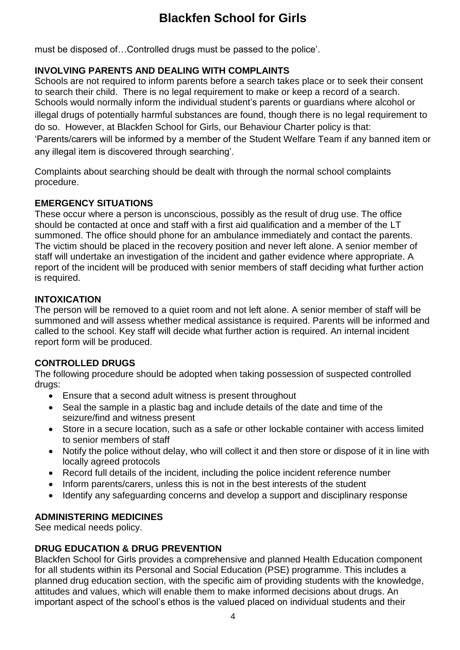must be disposed of…Controlled drugs must be passed to the police'.

## **INVOLVING PARENTS AND DEALING WITH COMPLAINTS**

Schools are not required to inform parents before a search takes place or to seek their consent to search their child. There is no legal requirement to make or keep a record of a search. Schools would normally inform the individual student's parents or guardians where alcohol or illegal drugs of potentially harmful substances are found, though there is no legal requirement to do so. However, at Blackfen School for Girls, our Behaviour Charter policy is that: 'Parents/carers will be informed by a member of the Student Welfare Team if any banned item or any illegal item is discovered through searching'.

Complaints about searching should be dealt with through the normal school complaints procedure.

## **EMERGENCY SITUATIONS**

These occur where a person is unconscious, possibly as the result of drug use. The office should be contacted at once and staff with a first aid qualification and a member of the LT summoned. The office should phone for an ambulance immediately and contact the parents. The victim should be placed in the recovery position and never left alone. A senior member of staff will undertake an investigation of the incident and gather evidence where appropriate. A report of the incident will be produced with senior members of staff deciding what further action is required.

## **INTOXICATION**

The person will be removed to a quiet room and not left alone. A senior member of staff will be summoned and will assess whether medical assistance is required. Parents will be informed and called to the school. Key staff will decide what further action is required. An internal incident report form will be produced.

## **CONTROLLED DRUGS**

The following procedure should be adopted when taking possession of suspected controlled drugs:

- Ensure that a second adult witness is present throughout
- Seal the sample in a plastic bag and include details of the date and time of the seizure/find and witness present
- Store in a secure location, such as a safe or other lockable container with access limited to senior members of staff
- Notify the police without delay, who will collect it and then store or dispose of it in line with locally agreed protocols
- Record full details of the incident, including the police incident reference number
- Inform parents/carers, unless this is not in the best interests of the student
- Identify any safeguarding concerns and develop a support and disciplinary response

## **ADMINISTERING MEDICINES**

See medical needs policy.

#### **DRUG EDUCATION & DRUG PREVENTION**

Blackfen School for Girls provides a comprehensive and planned Health Education component for all students within its Personal and Social Education (PSE) programme. This includes a planned drug education section, with the specific aim of providing students with the knowledge, attitudes and values, which will enable them to make informed decisions about drugs. An important aspect of the school's ethos is the valued placed on individual students and their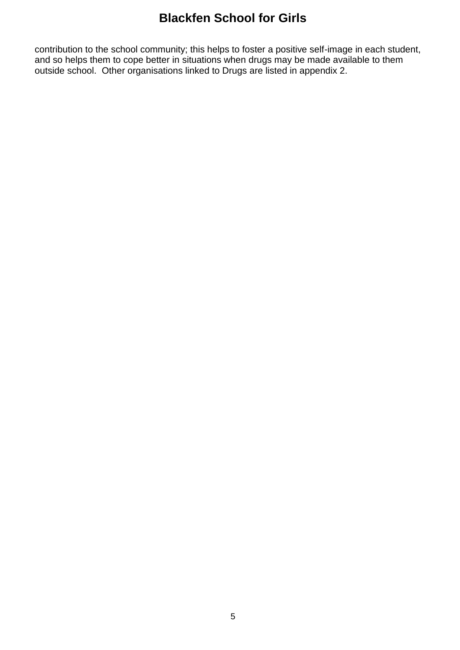contribution to the school community; this helps to foster a positive self-image in each student, and so helps them to cope better in situations when drugs may be made available to them outside school. Other organisations linked to Drugs are listed in appendix 2.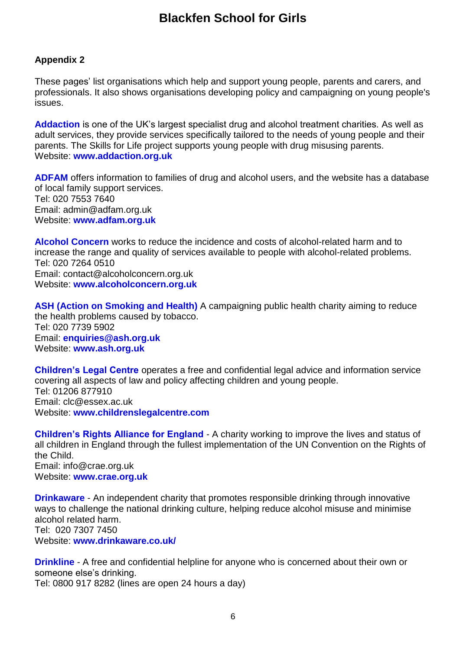## **Appendix 2**

These pages' list organisations which help and support young people, parents and carers, and professionals. It also shows organisations developing policy and campaigning on young people's issues.

**[Addaction](http://www.addaction.org.uk/)** is one of the UK's largest specialist drug and alcohol treatment charities. As well as adult services, they provide services specifically tailored to the needs of young people and their parents. The Skills for Life project supports young people with drug misusing parents. Website: **[www.addaction.org.uk](http://www.addaction.org.uk/)**

**[ADFAM](http://www.adfam.org.uk/)** offers information to families of drug and alcohol users, and the website has a database of local family support services. Tel: 020 7553 7640 Email: admin@adfam.org.uk Website: **[www.adfam.org.uk](http://www.adfam.org.uk/)**

**[Alcohol Concern](http://www.alcoholconcern.org.uk/)** works to reduce the incidence and costs of alcohol-related harm and to increase the range and quality of services available to people with alcohol-related problems. Tel: 020 7264 0510 Email: contact@alcoholconcern.org.uk Website: **[www.alcoholconcern.org.uk](http://www.alcoholconcern.org.uk/)**

**[ASH \(Action on Smoking and Health\)](http://www.ash.org.uk/)** A campaigning public health charity aiming to reduce the health problems caused by tobacco. Tel: 020 7739 5902 Email: **[enquiries@ash.org.uk](mailto:enquiries@ash.org.uk)** Website: **[www.ash.org.uk](http://www.ash.org.uk/)**

**[Children's Legal Centre](http://www.childrenslegalcentre.com/)** operates a free and confidential legal advice and information service covering all aspects of law and policy affecting children and young people. Tel: 01206 877910 Email: clc@essex.ac.uk Website: **[www.childrenslegalcentre.com](http://www.childrenslegalcentre.com/)**

**[Children's Rights Alliance for England](http://www.crae.org.uk/)** - A charity working to improve the lives and status of all children in England through the fullest implementation of the UN Convention on the Rights of the Child. Email: info@crae.org.uk Website: **[www.crae.org.uk](http://www.crae.org.uk/)**

**[Drinkaware](http://www.drinkaware.co.uk/)** - An independent charity that promotes responsible drinking through innovative ways to challenge the national drinking culture, helping reduce alcohol misuse and minimise alcohol related harm. Tel: 020 7307 7450

Website: **[www.drinkaware.co.uk/](http://www.drinkaware.co.uk/)**

**[Drinkline](http://www.alcoholconcern.org.uk/concerned-about-alcohol)** - A free and confidential helpline for anyone who is concerned about their own or someone else's drinking.

Tel: 0800 917 8282 (lines are open 24 hours a day)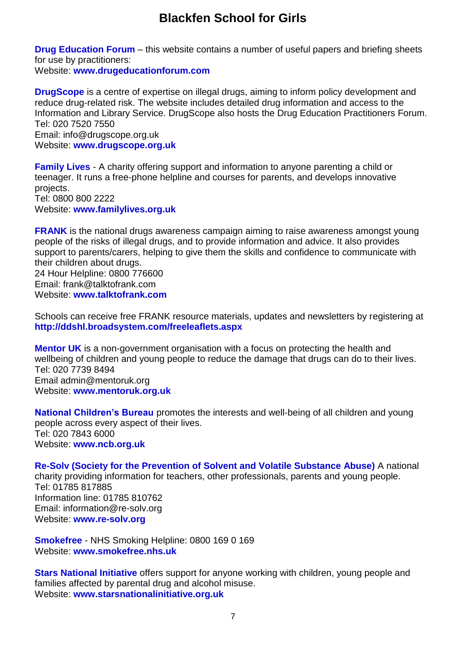**[Drug Education Forum](http://www.drugeducationforum.co.uk/)** – this website contains a number of useful papers and briefing sheets for use by practitioners:

Website: **[www.drugeducationforum.com](http://www.drugeducationforum.com/)**

**[DrugScope](http://www.drugscope.org.uk/)** is a centre of expertise on illegal drugs, aiming to inform policy development and reduce drug-related risk. The website includes detailed drug information and access to the Information and Library Service. DrugScope also hosts the Drug Education Practitioners Forum. Tel: 020 7520 7550 Email: info@drugscope.org.uk Website: **[www.drugscope.org.uk](http://www.drugscope.org.uk/)**

**[Family Lives](http://www.familylives.org.uk/)** - A charity offering support and information to anyone parenting a child or teenager. It runs a free-phone helpline and courses for parents, and develops innovative projects. Tel: 0800 800 2222 Website: **[www.familylives.org.uk](http://www.familylives.org.uk/)**

**[FRANK](http://www.talktofrank.com/)** is the national drugs awareness campaign aiming to raise awareness amongst young people of the risks of illegal drugs, and to provide information and advice. It also provides support to parents/carers, helping to give them the skills and confidence to communicate with their children about drugs. 24 Hour Helpline: 0800 776600

Email: frank@talktofrank.com Website: **[www.talktofrank.com](http://www.talktofrank.com/)**

Schools can receive free FRANK resource materials, updates and newsletters by registering at **<http://ddshl.broadsystem.com/freeleaflets.aspx>**

**[Mentor UK](http://www.mentoruk.org.uk/)** is a non-government organisation with a focus on protecting the health and wellbeing of children and young people to reduce the damage that drugs can do to their lives. Tel: 020 7739 8494 Email admin@mentoruk.org Website: **[www.mentoruk.org.uk](http://www.mentoruk.org.uk/)**

**[National Children's Bureau](http://www.ncb.org.uk/default.aspx)** promotes the interests and well-being of all children and young people across every aspect of their lives. Tel: 020 7843 6000 Website: **[www.ncb.org.uk](http://www.ncb.org.uk/default.aspx)**

**[Re-Solv \(Society for the Prevention of Solvent and Volatile Substance Abuse\)](http://www.re-solv.org/)** A national charity providing information for teachers, other professionals, parents and young people. Tel: 01785 817885 Information line: 01785 810762 Email: information@re-solv.org Website: **[www.re-solv.org](http://www.re-solv.org/)**

**[Smokefree](http://www.smokefree.nhs.uk/?gclid=CMH86-bEm64CFYgmtAodcjcDIQ)** - NHS Smoking Helpline: 0800 169 0 169 Website: **[www.smokefree.nhs.uk](http://www.smokefree.nhs.uk/)**

**[Stars National Initiative](http://www.starsnationalinitiative.org.uk/)** offers support for anyone working with children, young people and families affected by parental drug and alcohol misuse. Website: **[www.starsnationalinitiative.org.uk](http://www.starsnationalinitiative.org.uk/)**